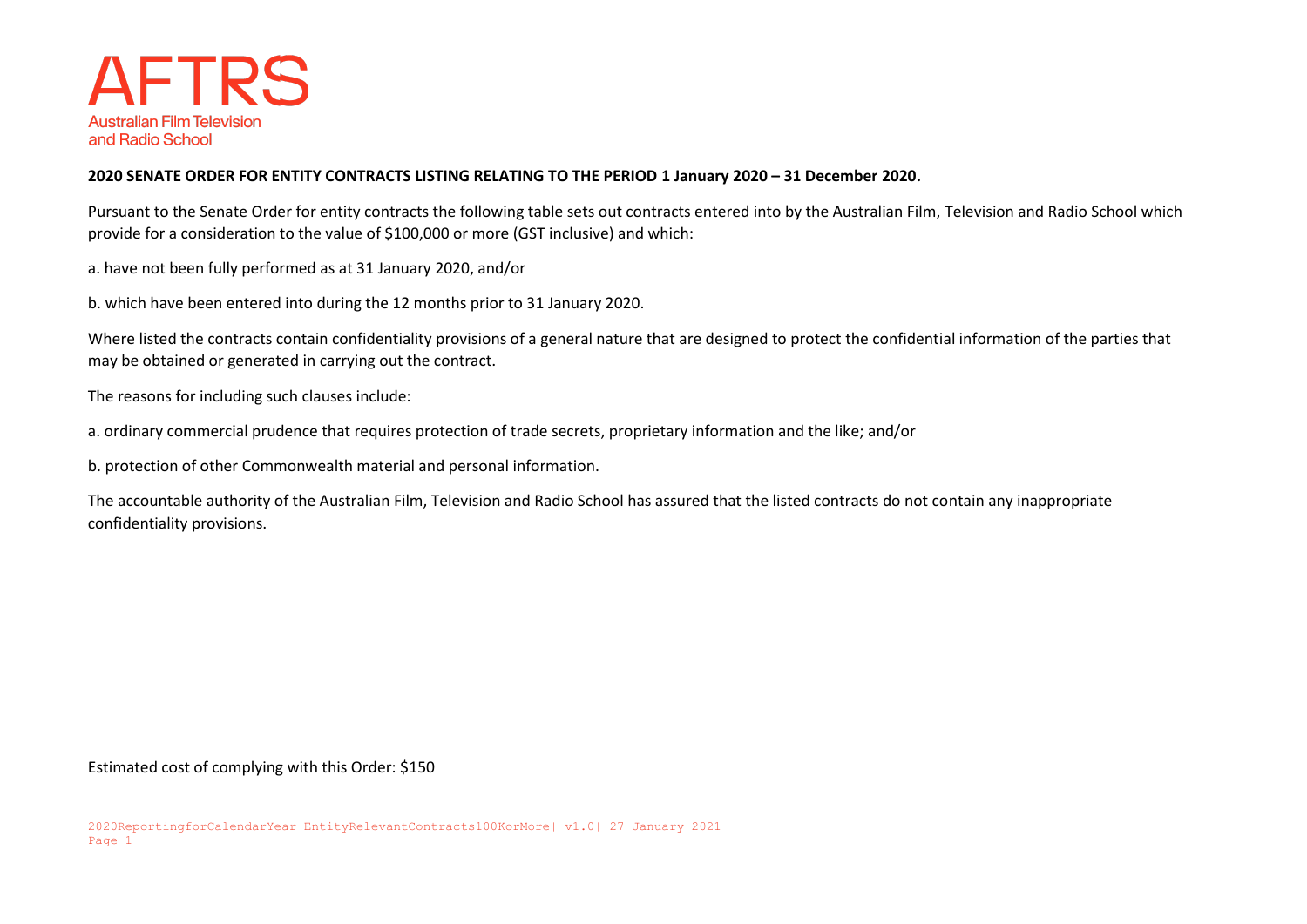

## **2020 SENATE ORDER FOR ENTITY CONTRACTS LISTING RELATING TO THE PERIOD 1 January 2020 – 31 December 2020.**

Pursuant to the Senate Order for entity contracts the following table sets out contracts entered into by the Australian Film, Television and Radio School which provide for a consideration to the value of \$100,000 or more (GST inclusive) and which:

a. have not been fully performed as at 31 January 2020, and/or

b. which have been entered into during the 12 months prior to 31 January 2020.

Where listed the contracts contain confidentiality provisions of a general nature that are designed to protect the confidential information of the parties that may be obtained or generated in carrying out the contract.

The reasons for including such clauses include:

a. ordinary commercial prudence that requires protection of trade secrets, proprietary information and the like; and/or

b. protection of other Commonwealth material and personal information.

The accountable authority of the Australian Film, Television and Radio School has assured that the listed contracts do not contain any inappropriate confidentiality provisions.

Estimated cost of complying with this Order: \$150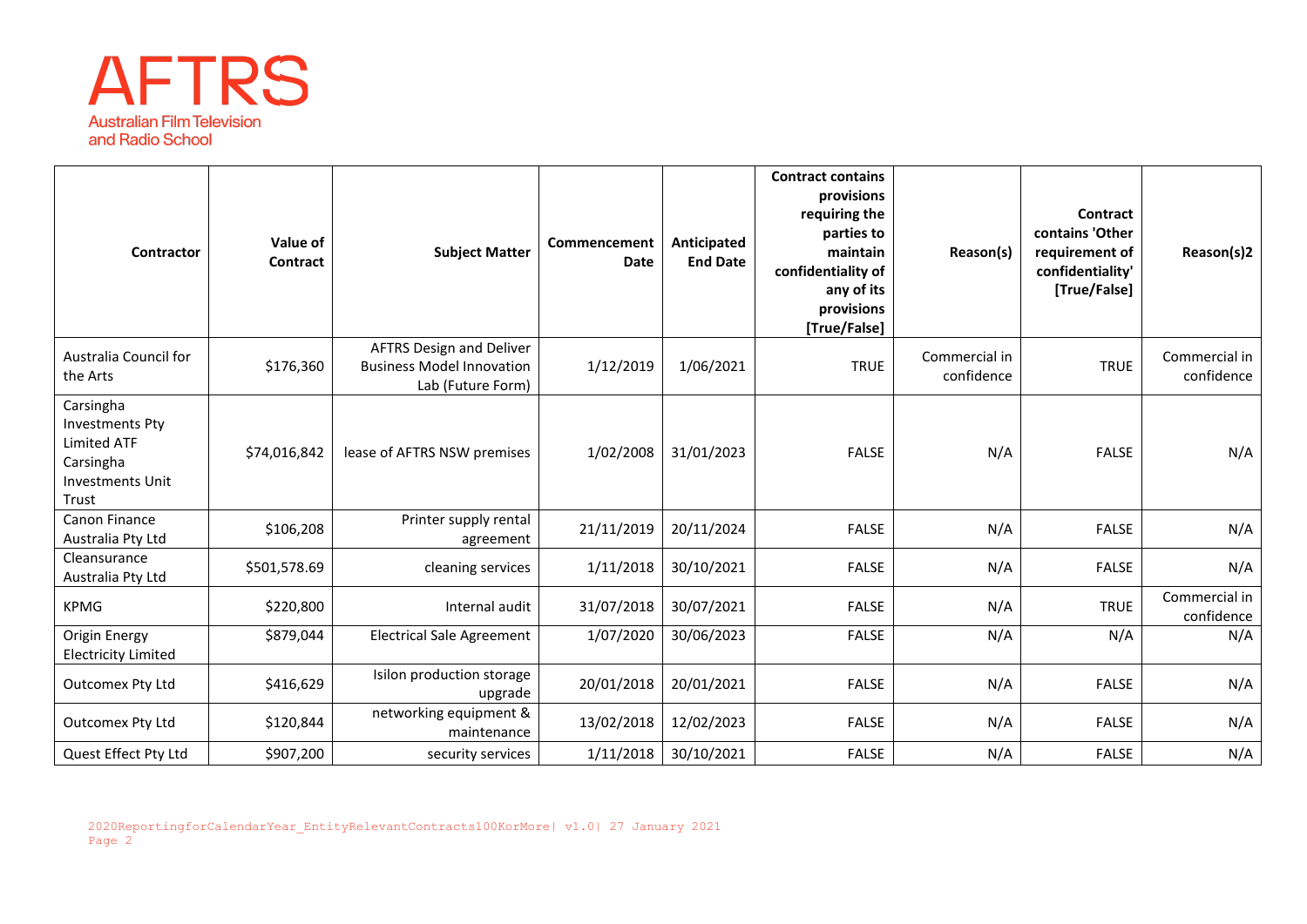

| Contractor                                                                                                 | Value of<br>Contract | <b>Subject Matter</b>                                                                    | Commencement<br><b>Date</b> | Anticipated<br><b>End Date</b> | <b>Contract contains</b><br>provisions<br>requiring the<br>parties to<br>maintain<br>confidentiality of<br>any of its<br>provisions<br>[True/False] | Reason(s)                   | Contract<br>contains 'Other<br>requirement of<br>confidentiality'<br>[True/False] | Reason(s)2                  |
|------------------------------------------------------------------------------------------------------------|----------------------|------------------------------------------------------------------------------------------|-----------------------------|--------------------------------|-----------------------------------------------------------------------------------------------------------------------------------------------------|-----------------------------|-----------------------------------------------------------------------------------|-----------------------------|
| Australia Council for<br>the Arts                                                                          | \$176,360            | <b>AFTRS Design and Deliver</b><br><b>Business Model Innovation</b><br>Lab (Future Form) | 1/12/2019                   | 1/06/2021                      | <b>TRUE</b>                                                                                                                                         | Commercial in<br>confidence | <b>TRUE</b>                                                                       | Commercial in<br>confidence |
| Carsingha<br><b>Investments Pty</b><br><b>Limited ATF</b><br>Carsingha<br><b>Investments Unit</b><br>Trust | \$74,016,842         | lease of AFTRS NSW premises                                                              | 1/02/2008                   | 31/01/2023                     | <b>FALSE</b>                                                                                                                                        | N/A                         | <b>FALSE</b>                                                                      | N/A                         |
| Canon Finance<br>Australia Pty Ltd                                                                         | \$106,208            | Printer supply rental<br>agreement                                                       | 21/11/2019                  | 20/11/2024                     | <b>FALSE</b>                                                                                                                                        | N/A                         | <b>FALSE</b>                                                                      | N/A                         |
| Cleansurance<br>Australia Pty Ltd                                                                          | \$501,578.69         | cleaning services                                                                        | 1/11/2018                   | 30/10/2021                     | <b>FALSE</b>                                                                                                                                        | N/A                         | <b>FALSE</b>                                                                      | N/A                         |
| <b>KPMG</b>                                                                                                | \$220,800            | Internal audit                                                                           | 31/07/2018                  | 30/07/2021                     | <b>FALSE</b>                                                                                                                                        | N/A                         | <b>TRUE</b>                                                                       | Commercial in<br>confidence |
| Origin Energy<br><b>Electricity Limited</b>                                                                | \$879,044            | <b>Electrical Sale Agreement</b>                                                         | 1/07/2020                   | 30/06/2023                     | <b>FALSE</b>                                                                                                                                        | N/A                         | N/A                                                                               | N/A                         |
| Outcomex Pty Ltd                                                                                           | \$416,629            | Isilon production storage<br>upgrade                                                     | 20/01/2018                  | 20/01/2021                     | <b>FALSE</b>                                                                                                                                        | N/A                         | <b>FALSE</b>                                                                      | N/A                         |
| Outcomex Pty Ltd                                                                                           | \$120,844            | networking equipment &<br>maintenance                                                    | 13/02/2018                  | 12/02/2023                     | <b>FALSE</b>                                                                                                                                        | N/A                         | <b>FALSE</b>                                                                      | N/A                         |
| Quest Effect Pty Ltd                                                                                       | \$907,200            | security services                                                                        | 1/11/2018                   | 30/10/2021                     | <b>FALSE</b>                                                                                                                                        | N/A                         | <b>FALSE</b>                                                                      | N/A                         |